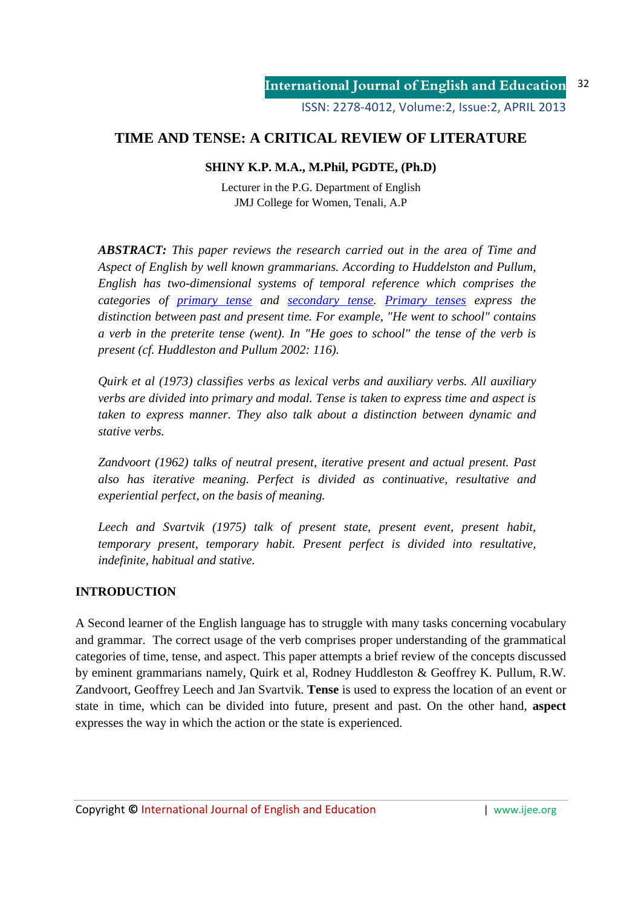# **TIME AND TENSE: A CRITICAL REVIEW OF LITERATURE**

# **SHINY K.P. M.A., M.Phil, PGDTE, (Ph.D)**

Lecturer in the P.G. Department of English JMJ College for Women, Tenali, A.P

*ABSTRACT: This paper reviews the research carried out in the area of Time and Aspect of English by well known grammarians. According to Huddelston and Pullum, English has two-dimensional systems of temporal reference which comprises the categories of primary tense and secondary tense. Primary tenses express the distinction between past and present time. For example, "He went to school" contains a verb in the preterite tense (went). In "He goes to school" the tense of the verb is present (cf. Huddleston and Pullum 2002: 116).* 

*Quirk et al (1973) classifies verbs as lexical verbs and auxiliary verbs. All auxiliary verbs are divided into primary and modal. Tense is taken to express time and aspect is taken to express manner. They also talk about a distinction between dynamic and stative verbs.* 

*Zandvoort (1962) talks of neutral present, iterative present and actual present. Past also has iterative meaning. Perfect is divided as continuative, resultative and experiential perfect, on the basis of meaning.* 

*Leech and Svartvik (1975) talk of present state, present event, present habit, temporary present, temporary habit. Present perfect is divided into resultative, indefinite, habitual and stative.*

# **INTRODUCTION**

A Second learner of the English language has to struggle with many tasks concerning vocabulary and grammar. The correct usage of the verb comprises proper understanding of the grammatical categories of time, tense, and aspect. This paper attempts a brief review of the concepts discussed by eminent grammarians namely, Quirk et al, Rodney Huddleston & Geoffrey K. Pullum, R.W. Zandvoort, Geoffrey Leech and Jan Svartvik. **Tense** is used to express the location of an event or state in time, which can be divided into future, present and past. On the other hand, **aspect** expresses the way in which the action or the state is experienced.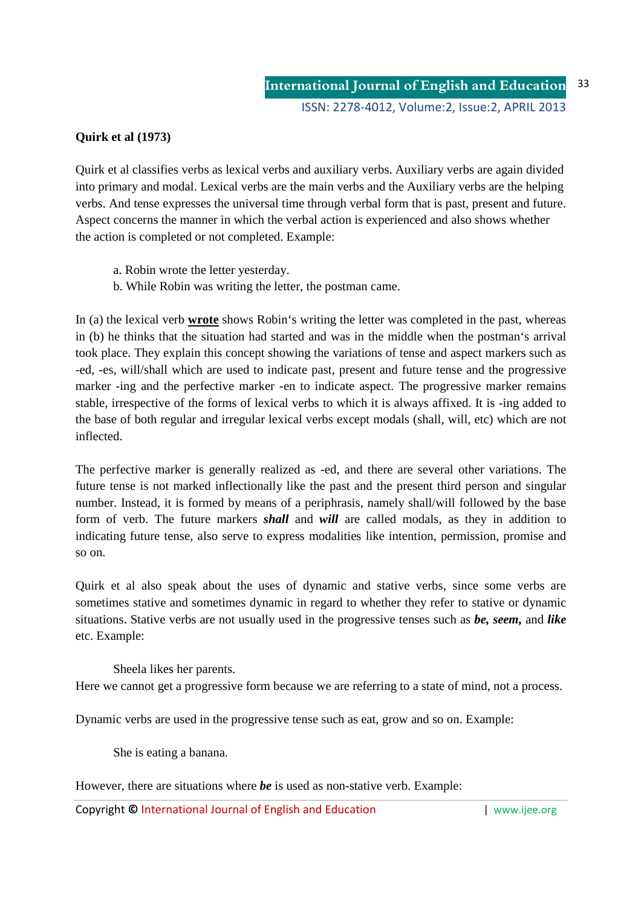# **Quirk et al (1973)**

Quirk et al classifies verbs as lexical verbs and auxiliary verbs. Auxiliary verbs are again divided into primary and modal. Lexical verbs are the main verbs and the Auxiliary verbs are the helping verbs. And tense expresses the universal time through verbal form that is past, present and future. Aspect concerns the manner in which the verbal action is experienced and also shows whether the action is completed or not completed. Example:

- a. Robin wrote the letter yesterday.
- b. While Robin was writing the letter, the postman came.

In (a) the lexical verb **wrote** shows Robin's writing the letter was completed in the past, whereas in (b) he thinks that the situation had started and was in the middle when the postman's arrival took place. They explain this concept showing the variations of tense and aspect markers such as -ed, -es, will/shall which are used to indicate past, present and future tense and the progressive marker -ing and the perfective marker -en to indicate aspect. The progressive marker remains stable, irrespective of the forms of lexical verbs to which it is always affixed. It is -ing added to the base of both regular and irregular lexical verbs except modals (shall, will, etc) which are not inflected.

The perfective marker is generally realized as -ed, and there are several other variations. The future tense is not marked inflectionally like the past and the present third person and singular number. Instead, it is formed by means of a periphrasis, namely shall/will followed by the base form of verb. The future markers *shall* and *will* are called modals, as they in addition to indicating future tense, also serve to express modalities like intention, permission, promise and so on.

Quirk et al also speak about the uses of dynamic and stative verbs, since some verbs are sometimes stative and sometimes dynamic in regard to whether they refer to stative or dynamic situations. Stative verbs are not usually used in the progressive tenses such as *be, seem,* and *like* etc. Example:

Sheela likes her parents. Here we cannot get a progressive form because we are referring to a state of mind, not a process.

Dynamic verbs are used in the progressive tense such as eat, grow and so on. Example:

She is eating a banana.

However, there are situations where *be* is used as non-stative verb. Example: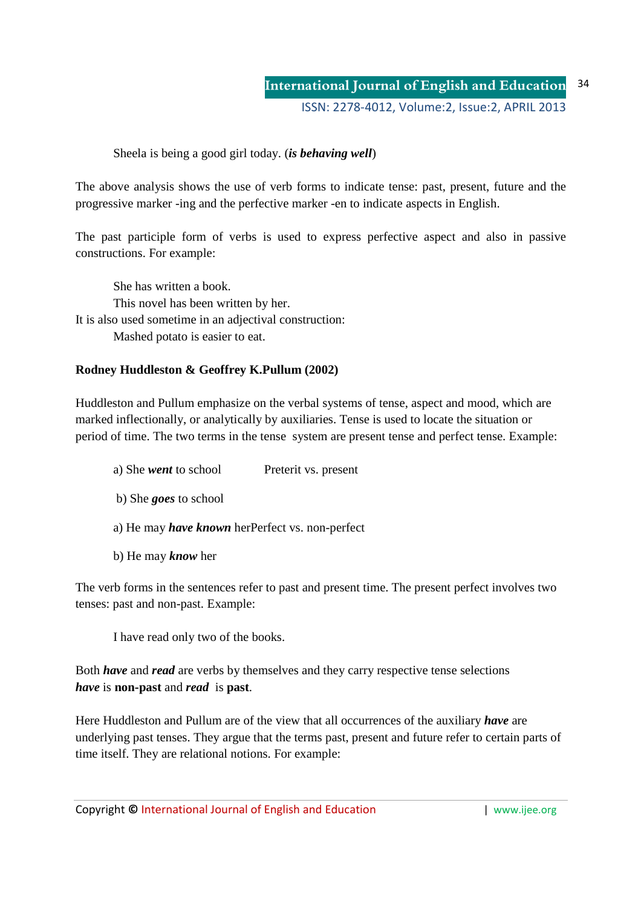# Sheela is being a good girl today. (*is behaving well*)

The above analysis shows the use of verb forms to indicate tense: past, present, future and the progressive marker -ing and the perfective marker -en to indicate aspects in English.

The past participle form of verbs is used to express perfective aspect and also in passive constructions. For example:

She has written a book. This novel has been written by her. It is also used sometime in an adjectival construction: Mashed potato is easier to eat.

# **Rodney Huddleston & Geoffrey K.Pullum (2002)**

Huddleston and Pullum emphasize on the verbal systems of tense, aspect and mood, which are marked inflectionally, or analytically by auxiliaries. Tense is used to locate the situation or period of time. The two terms in the tense system are present tense and perfect tense. Example:

a) She *went* to school Preterit vs. present b) She *goes* to school a) He may *have known* herPerfect vs. non-perfect b) He may *know* her

The verb forms in the sentences refer to past and present time. The present perfect involves two tenses: past and non-past. Example:

I have read only two of the books.

Both *have* and *read* are verbs by themselves and they carry respective tense selections *have* is **non-past** and *read* is **past**.

Here Huddleston and Pullum are of the view that all occurrences of the auxiliary *have* are underlying past tenses. They argue that the terms past, present and future refer to certain parts of time itself. They are relational notions. For example: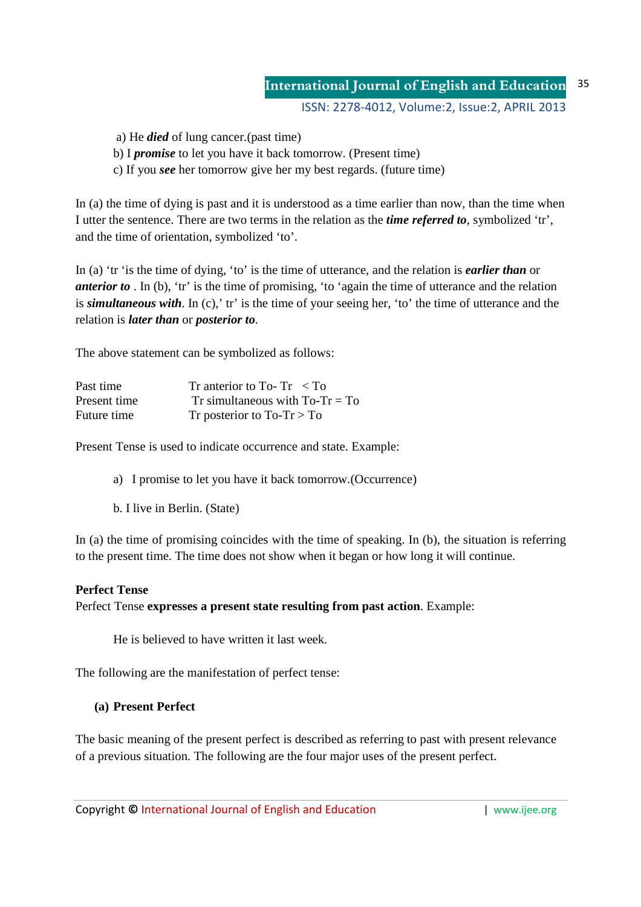#### **International Journal of English and Education** 35

ISSN: 2278-4012, Volume:2, Issue:2, APRIL 2013

a) He *died* of lung cancer.(past time)

- b) I *promise* to let you have it back tomorrow. (Present time)
- c) If you *see* her tomorrow give her my best regards. (future time)

In (a) the time of dying is past and it is understood as a time earlier than now, than the time when I utter the sentence. There are two terms in the relation as the *time referred to*, symbolized 'tr', and the time of orientation, symbolized 'to'.

In (a) 'tr 'is the time of dying, 'to' is the time of utterance, and the relation is *earlier than* or *anterior to* . In (b), 'tr' is the time of promising, 'to 'again the time of utterance and the relation is *simultaneous with*. In (c),' tr' is the time of your seeing her, 'to' the time of utterance and the relation is *later than* or *posterior to*.

The above statement can be symbolized as follows:

| Past time    | Tr anterior to To-Tr $\langle$ To |
|--------------|-----------------------------------|
| Present time | Tr simultaneous with $To-Tr = To$ |
| Future time  | Tr posterior to $To-Tr > To$      |

Present Tense is used to indicate occurrence and state. Example:

a) I promise to let you have it back tomorrow.(Occurrence)

b. I live in Berlin. (State)

In (a) the time of promising coincides with the time of speaking. In (b), the situation is referring to the present time. The time does not show when it began or how long it will continue.

#### **Perfect Tense**

Perfect Tense **expresses a present state resulting from past action**. Example:

He is believed to have written it last week.

The following are the manifestation of perfect tense:

#### **(a) Present Perfect**

The basic meaning of the present perfect is described as referring to past with present relevance of a previous situation. The following are the four major uses of the present perfect.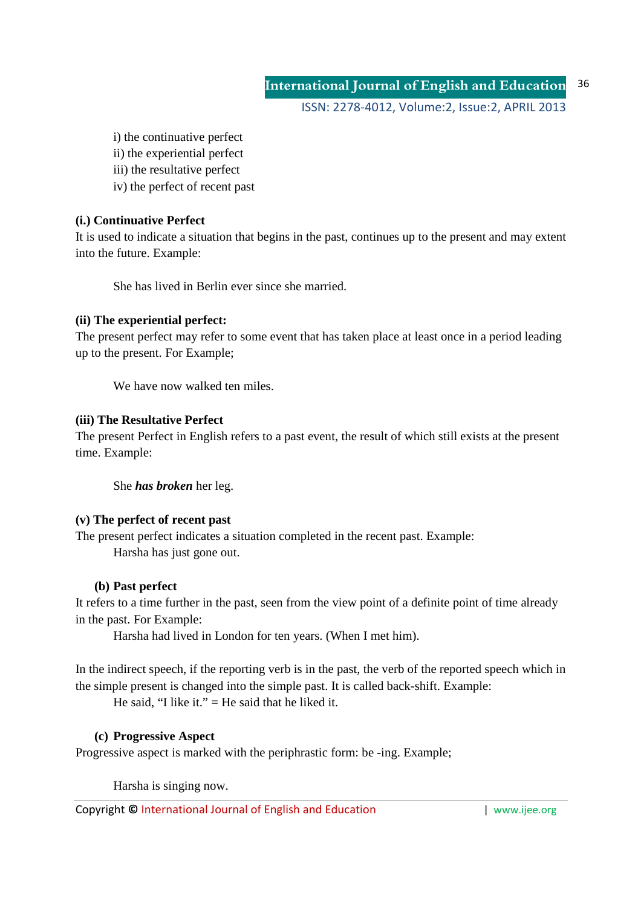**International Journal of English and Education** ISSN: 2278-4012, Volume:2, Issue:2, APRIL 2013 36

i) the continuative perfect

- ii) the experiential perfect
- iii) the resultative perfect
- iv) the perfect of recent past

# **(i.) Continuative Perfect**

It is used to indicate a situation that begins in the past, continues up to the present and may extent into the future. Example:

She has lived in Berlin ever since she married.

# **(ii) The experiential perfect:**

The present perfect may refer to some event that has taken place at least once in a period leading up to the present. For Example;

We have now walked ten miles.

# **(iii) The Resultative Perfect**

The present Perfect in English refers to a past event, the result of which still exists at the present time. Example:

She *has broken* her leg.

# **(v) The perfect of recent past**

The present perfect indicates a situation completed in the recent past. Example: Harsha has just gone out.

# **(b) Past perfect**

It refers to a time further in the past, seen from the view point of a definite point of time already in the past. For Example:

Harsha had lived in London for ten years. (When I met him).

In the indirect speech, if the reporting verb is in the past, the verb of the reported speech which in the simple present is changed into the simple past. It is called back-shift. Example:

He said, "I like it." = He said that he liked it.

# **(c) Progressive Aspect**

Progressive aspect is marked with the periphrastic form: be -ing. Example;

Harsha is singing now.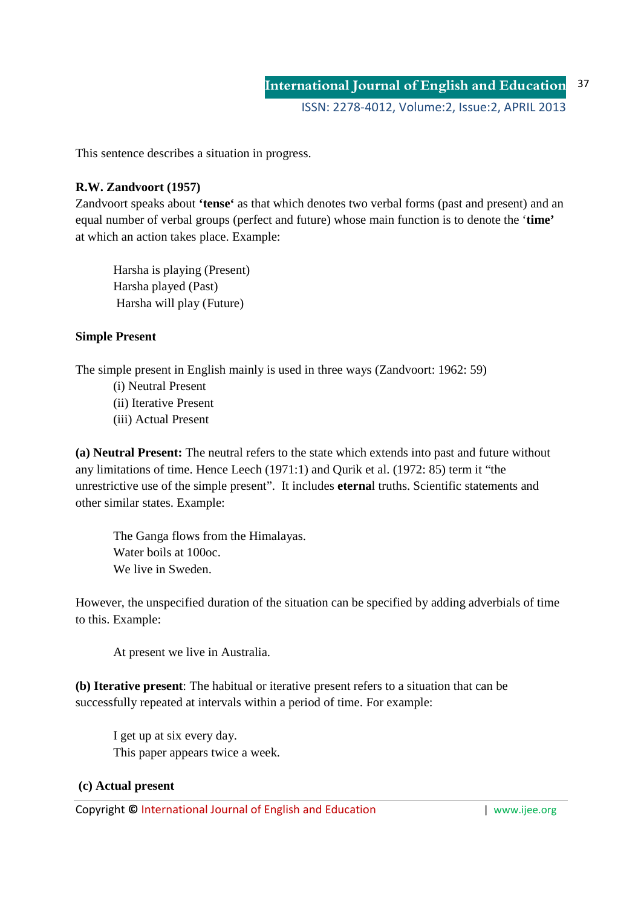This sentence describes a situation in progress.

## **R.W. Zandvoort (1957)**

Zandvoort speaks about **'tense'** as that which denotes two verbal forms (past and present) and an equal number of verbal groups (perfect and future) whose main function is to denote the '**time'** at which an action takes place. Example:

Harsha is playing (Present) Harsha played (Past) Harsha will play (Future)

### **Simple Present**

The simple present in English mainly is used in three ways (Zandvoort: 1962: 59)

(i) Neutral Present (ii) Iterative Present (iii) Actual Present

**(a) Neutral Present:** The neutral refers to the state which extends into past and future without any limitations of time. Hence Leech (1971:1) and Qurik et al. (1972: 85) term it "the unrestrictive use of the simple present". It includes **eterna**l truths. Scientific statements and other similar states. Example:

The Ganga flows from the Himalayas. Water boils at 100oc. We live in Sweden.

However, the unspecified duration of the situation can be specified by adding adverbials of time to this. Example:

At present we live in Australia.

**(b) Iterative present**: The habitual or iterative present refers to a situation that can be successfully repeated at intervals within a period of time. For example:

I get up at six every day. This paper appears twice a week.

#### **(c) Actual present**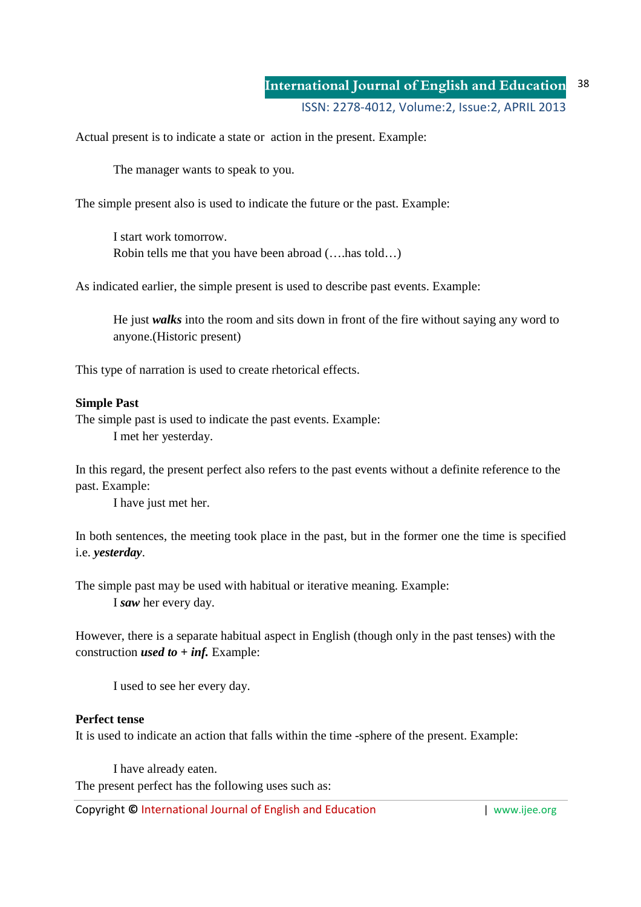#### **International Journal of English and Education** ISSN: 2278-4012, Volume:2, Issue:2, APRIL 2013 38

Actual present is to indicate a state or action in the present. Example:

The manager wants to speak to you.

The simple present also is used to indicate the future or the past. Example:

I start work tomorrow. Robin tells me that you have been abroad (….has told…)

As indicated earlier, the simple present is used to describe past events. Example:

He just *walks* into the room and sits down in front of the fire without saying any word to anyone.(Historic present)

This type of narration is used to create rhetorical effects.

#### **Simple Past**

The simple past is used to indicate the past events. Example: I met her yesterday.

In this regard, the present perfect also refers to the past events without a definite reference to the past. Example:

I have just met her.

In both sentences, the meeting took place in the past, but in the former one the time is specified i.e. *yesterday*.

The simple past may be used with habitual or iterative meaning. Example: I *saw* her every day.

However, there is a separate habitual aspect in English (though only in the past tenses) with the construction *used to + inf.* Example:

I used to see her every day.

#### **Perfect tense**

It is used to indicate an action that falls within the time -sphere of the present. Example:

I have already eaten. The present perfect has the following uses such as: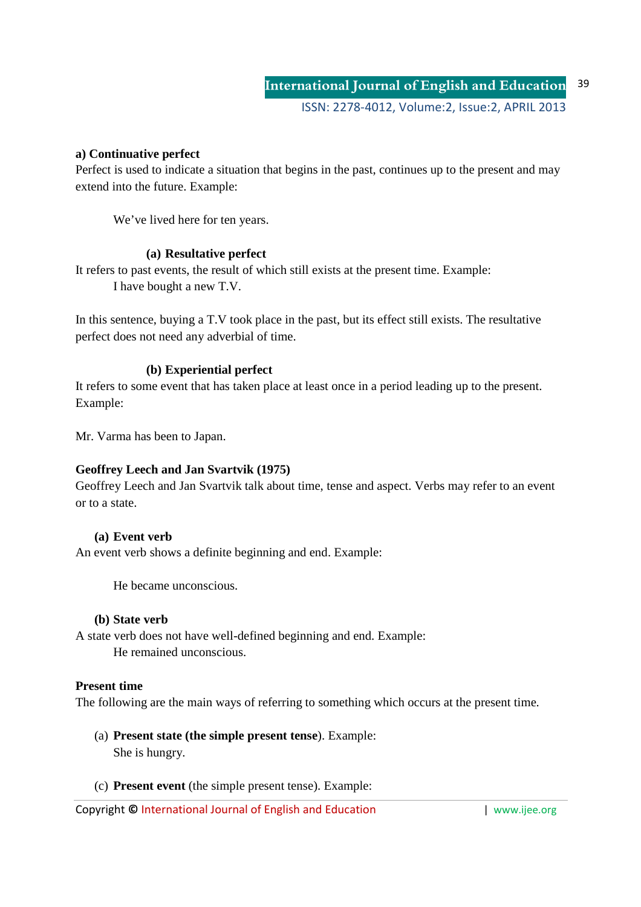### **a) Continuative perfect**

Perfect is used to indicate a situation that begins in the past, continues up to the present and may extend into the future. Example:

We've lived here for ten years.

### **(a) Resultative perfect**

It refers to past events, the result of which still exists at the present time. Example: I have bought a new T.V.

In this sentence, buying a T.V took place in the past, but its effect still exists. The resultative perfect does not need any adverbial of time.

### **(b) Experiential perfect**

It refers to some event that has taken place at least once in a period leading up to the present. Example:

Mr. Varma has been to Japan.

# **Geoffrey Leech and Jan Svartvik (1975)**

Geoffrey Leech and Jan Svartvik talk about time, tense and aspect. Verbs may refer to an event or to a state.

# **(a) Event verb**

An event verb shows a definite beginning and end. Example:

He became unconscious.

#### **(b) State verb**

A state verb does not have well-defined beginning and end. Example: He remained unconscious.

#### **Present time**

The following are the main ways of referring to something which occurs at the present time.

- (a) **Present state (the simple present tense**). Example: She is hungry.
- (c) **Present event** (the simple present tense). Example: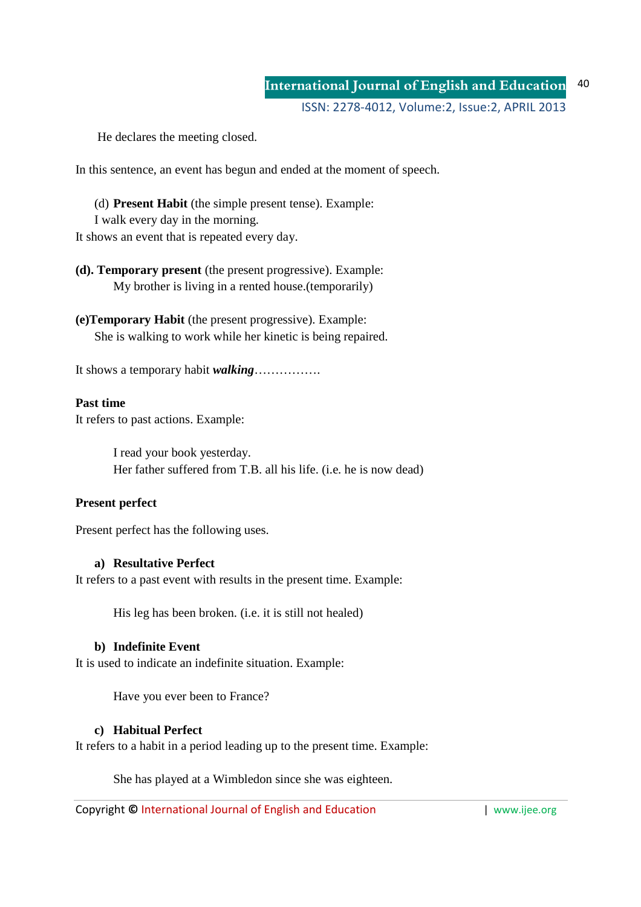He declares the meeting closed.

In this sentence, an event has begun and ended at the moment of speech.

(d) **Present Habit** (the simple present tense). Example: I walk every day in the morning.

It shows an event that is repeated every day.

# **(d). Temporary present** (the present progressive). Example: My brother is living in a rented house.(temporarily)

**(e)Temporary Habit** (the present progressive). Example: She is walking to work while her kinetic is being repaired.

It shows a temporary habit *walking*…………….

### **Past time**

It refers to past actions. Example:

I read your book yesterday. Her father suffered from T.B. all his life. (i.e. he is now dead)

# **Present perfect**

Present perfect has the following uses.

### **a) Resultative Perfect**

It refers to a past event with results in the present time. Example:

His leg has been broken. (i.e. it is still not healed)

#### **b) Indefinite Event**

It is used to indicate an indefinite situation. Example:

Have you ever been to France?

# **c) Habitual Perfect**

It refers to a habit in a period leading up to the present time. Example:

She has played at a Wimbledon since she was eighteen.